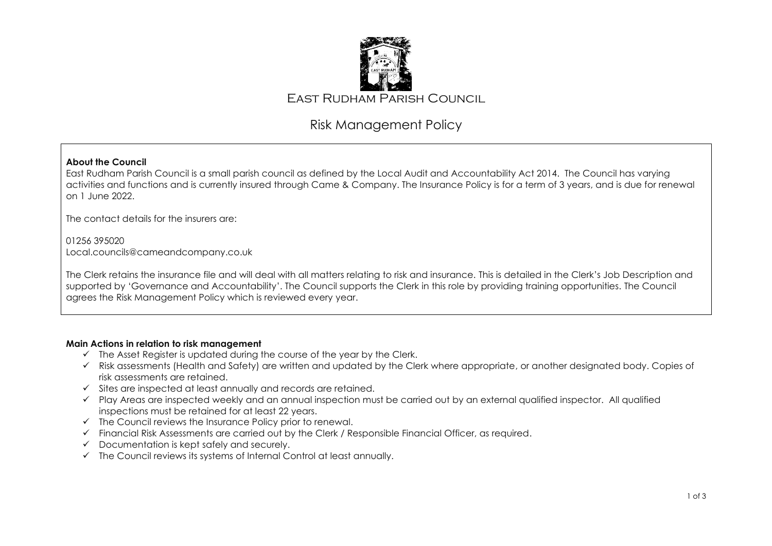

# Risk Management Policy

## **About the Council**

East Rudham Parish Council is a small parish council as defined by the Local Audit and Accountability Act 2014. The Council has varying activities and functions and is currently insured through Came & Company. The Insurance Policy is for a term of 3 years, and is due for renewal on 1 June 2022.

The contact details for the insurers are:

01256 395020 Local.councils@cameandcompany.co.uk

The Clerk retains the insurance file and will deal with all matters relating to risk and insurance. This is detailed in the Clerk's Job Description and supported by 'Governance and Accountability'. The Council supports the Clerk in this role by providing training opportunities. The Council agrees the Risk Management Policy which is reviewed every year.

#### **Main Actions in relation to risk management**

- $\checkmark$  The Asset Register is updated during the course of the year by the Clerk.
- ✓ Risk assessments (Health and Safety) are written and updated by the Clerk where appropriate, or another designated body. Copies of risk assessments are retained.
- ✓ Sites are inspected at least annually and records are retained.
- ✓ Play Areas are inspected weekly and an annual inspection must be carried out by an external qualified inspector. All qualified inspections must be retained for at least 22 years.
- $\checkmark$  The Council reviews the Insurance Policy prior to renewal.
- ✓ Financial Risk Assessments are carried out by the Clerk / Responsible Financial Officer, as required.
- ✓ Documentation is kept safely and securely.
- ✓ The Council reviews its systems of Internal Control at least annually.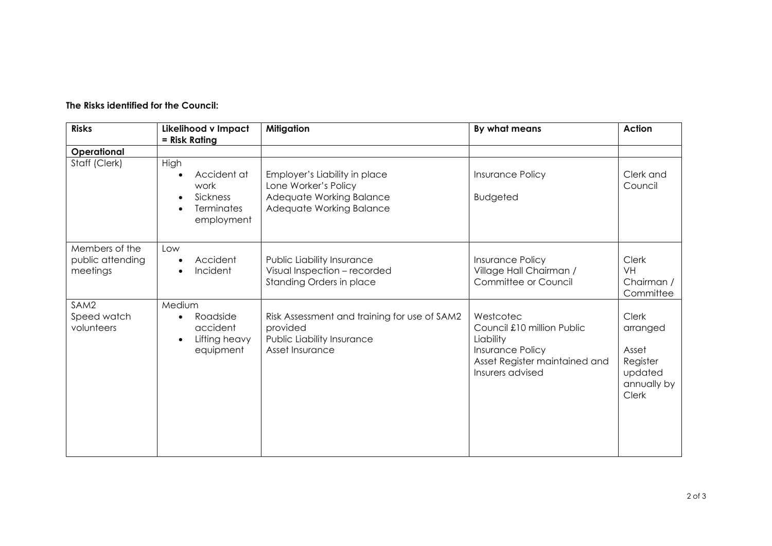## **The Risks identified for the Council:**

| <b>Risks</b>                                   | Likelihood v Impact<br>= Risk Rating                                                   | <b>Mitigation</b>                                                                                             | By what means                                                                                                                 | <b>Action</b>                                                                    |
|------------------------------------------------|----------------------------------------------------------------------------------------|---------------------------------------------------------------------------------------------------------------|-------------------------------------------------------------------------------------------------------------------------------|----------------------------------------------------------------------------------|
| Operational                                    |                                                                                        |                                                                                                               |                                                                                                                               |                                                                                  |
| Staff (Clerk)                                  | High<br>Accident at<br>work<br>Sickness<br><b>Terminates</b><br>employment             | Employer's Liability in place<br>Lone Worker's Policy<br>Adequate Working Balance<br>Adequate Working Balance | <b>Insurance Policy</b><br><b>Budgeted</b>                                                                                    | Clerk and<br>Council                                                             |
| Members of the<br>public attending<br>meetings | Low<br>Accident<br>Incident<br>$\bullet$                                               | Public Liability Insurance<br>Visual Inspection - recorded<br>Standing Orders in place                        | <b>Insurance Policy</b><br>Village Hall Chairman /<br>Committee or Council                                                    | <b>Clerk</b><br><b>VH</b><br>Chairman /<br>Committee                             |
| SAM2<br>Speed watch<br>volunteers              | Medium<br>Roadside<br>$\bullet$<br>accident<br>Lifting heavy<br>$\bullet$<br>equipment | Risk Assessment and training for use of SAM2<br>provided<br>Public Liability Insurance<br>Asset Insurance     | Westcotec<br>Council £10 million Public<br>Liability<br>Insurance Policy<br>Asset Register maintained and<br>Insurers advised | <b>Clerk</b><br>arranged<br>Asset<br>Register<br>updated<br>annually by<br>Clerk |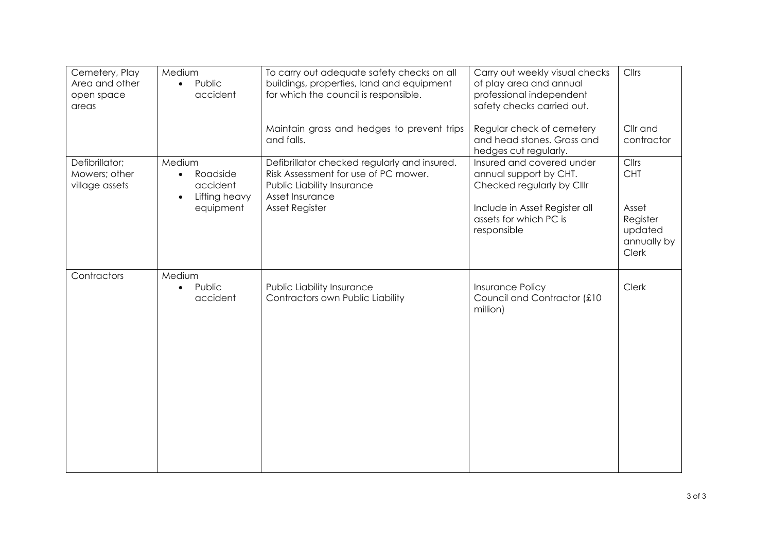| Cemetery, Play<br>Area and other<br>open space<br>areas | Medium<br>Public<br>$\bullet$<br>accident                                 | To carry out adequate safety checks on all<br>buildings, properties, land and equipment<br>for which the council is responsible.      | Carry out weekly visual checks<br>of play area and annual<br>professional independent<br>safety checks carried out. | Cllrs                                                |
|---------------------------------------------------------|---------------------------------------------------------------------------|---------------------------------------------------------------------------------------------------------------------------------------|---------------------------------------------------------------------------------------------------------------------|------------------------------------------------------|
|                                                         |                                                                           | Maintain grass and hedges to prevent trips<br>and falls.                                                                              | Regular check of cemetery<br>and head stones. Grass and<br>hedges cut regularly.                                    | Cllr and<br>contractor                               |
| Defibrillator;<br>Mowers; other<br>village assets       | Medium<br>Roadside<br>$\bullet$<br>accident<br>Lifting heavy<br>$\bullet$ | Defibrillator checked regularly and insured.<br>Risk Assessment for use of PC mower.<br>Public Liability Insurance<br>Asset Insurance | Insured and covered under<br>annual support by CHT.<br>Checked regularly by Clllr                                   | Cllrs<br><b>CHT</b>                                  |
|                                                         | equipment                                                                 | <b>Asset Register</b>                                                                                                                 | Include in Asset Register all<br>assets for which PC is<br>responsible                                              | Asset<br>Register<br>updated<br>annually by<br>Clerk |
| Contractors                                             | Medium<br>Public<br>$\bullet$<br>accident                                 | Public Liability Insurance<br>Contractors own Public Liability                                                                        | <b>Insurance Policy</b><br>Council and Contractor (£10<br>million)                                                  | Clerk                                                |
|                                                         |                                                                           |                                                                                                                                       |                                                                                                                     |                                                      |